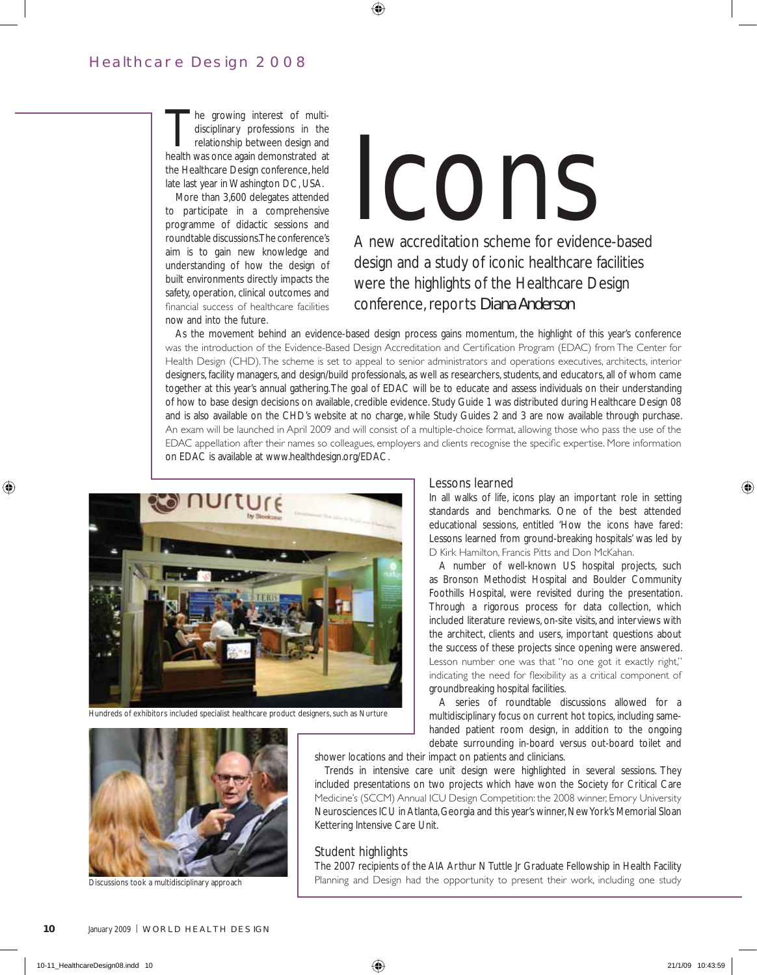# Healthcare Design 2008

The growing interest of multi-<br>disciplinary professions in the<br>relationship between design and<br>hoalth was once again domonstrated at disciplinary professions in the relationship between design and health was once again demonstrated at the Healthcare Design conference, held late last year in Washington DC, USA.

More than 3,600 delegates attended to participate in a comprehensive programme of didactic sessions and roundtable discussions. The conference's aim is to gain new knowledge and understanding of how the design of built environments directly impacts the safety, operation, clinical outcomes and financial success of healthcare facilities now and into the future.

# Icons

A new accreditation scheme for evidence-based design and a study of iconic healthcare facilities were the highlights of the Healthcare Design conference, reports *Diana Anderson*

As the movement behind an evidence-based design process gains momentum, the highlight of this year's conference was the introduction of the Evidence-Based Design Accreditation and Certification Program (EDAC) from The Center for Health Design (CHD). The scheme is set to appeal to senior administrators and operations executives, architects, interior designers, facility managers, and design/build professionals, as well as researchers, students, and educators, all of whom came together at this year's annual gathering. The goal of EDAC will be to educate and assess individuals on their understanding of how to base design decisions on available, credible evidence. Study Guide 1 was distributed during Healthcare Design 08 and is also available on the CHD's website at no charge, while Study Guides 2 and 3 are now available through purchase. An exam will be launched in April 2009 and will consist of a multiple-choice format, allowing those who pass the use of the EDAC appellation after their names so colleagues, employers and clients recognise the specific expertise. More information on EDAC is available at www.healthdesign.org/EDAC.

 $\bigoplus$ 



Hundreds of exhibitors included specialist healthcare product designers, such as Nurture

# Lessons learned

In all walks of life, icons play an important role in setting standards and benchmarks. One of the best attended educational sessions, entitled 'How the icons have fared: Lessons learned from ground-breaking hospitals' was led by D Kirk Hamilton, Francis Pitts and Don McKahan.

A number of well-known US hospital projects, such as Bronson Methodist Hospital and Boulder Community Foothills Hospital, were revisited during the presentation. Through a rigorous process for data collection, which included literature reviews, on-site visits, and interviews with the architect, clients and users, important questions about the success of these projects since opening were answered. Lesson number one was that "no one got it exactly right," indicating the need for flexibility as a critical component of groundbreaking hospital facilities.

A series of roundtable discussions allowed for a multidisciplinary focus on current hot topics, including samehanded patient room design, in addition to the ongoing debate surrounding in-board versus out-board toilet and

shower locations and their impact on patients and clinicians.

Trends in intensive care unit design were highlighted in several sessions. They included presentations on two projects which have won the Society for Critical Care Medicine's (SCCM) Annual ICU Design Competition: the 2008 winner, Emory University Neurosciences ICU in Atlanta, Georgia and this year's winner, New York's Memorial Sloan Kettering Intensive Care Unit.

# Student highlights

The 2007 recipients of the AIA Arthur N Tuttle Jr Graduate Fellowship in Health Facility Planning and Design had the opportunity to present their work, including one study



Discussions took a multidisciplinary approach

◈

◈